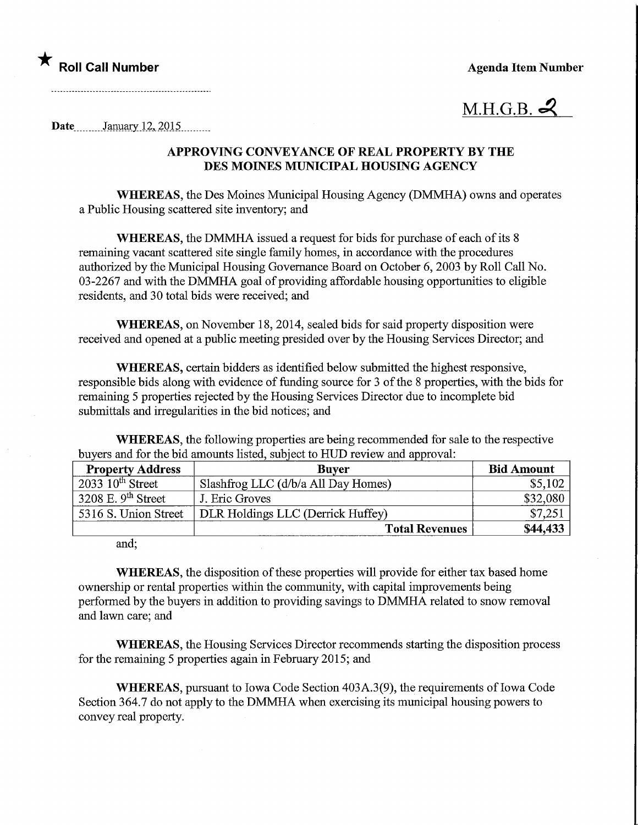★<br>Roll Call Number Agenda Item Number



Date<sub>...</sub>.........January 12, 2015..........

## APPROVING CONVEYANCE OF REAL PROPERTY BY THE DES MOmES MUNICIPAL HOUSING AGENCY

WHEREAS, the Des Moines Municipal Housing Agency (DMMHA) owns and operates a Public Housing scattered site inventory; and

WHEREAS, the DMMHA issued a request for bids for purchase of each of its 8 remaining vacant scattered site single family homes, in accordance with the procedures authorized by the Municipal Housing Governance Board on October 6, 2003 by Roll Call No. 03-2267 and with the DMMHA goal of providing affordable housing opportunities to eligible residents, and 30 total bids were received; and

WHEREAS, on November 18, 2014, sealed bids for said property disposition were received and opened at a public meeting presided over by the Housing Services Director; and

WHEREAS, certain bidders as identified below submitted the highest responsive, responsible bids along with evidence of funding source for 3 of the 8 properties, with the bids for remaining 5 properties rejected by the Housing Services Director due to incomplete bid submittals and irregularities in the bid notices; and

WHEREAS, the following properties are being recommended for sale to the respective buyers and for the bid amounts listed, subject to HUD review and approval:

| <b>Property Address</b>     | <b>Buver</b>                        | <b>Bid Amount</b> |
|-----------------------------|-------------------------------------|-------------------|
| $2033 \cdot 10^{th}$ Street | Slashfrog LLC (d/b/a All Day Homes) | \$5,102           |
| 3208 E. $9th$ Street        | J. Eric Groves                      | \$32,080          |
| 5316 S. Union Street        | DLR Holdings LLC (Derrick Huffey)   | \$7,251           |
|                             | <b>Total Revenues</b>               | \$44,433          |
|                             |                                     |                   |

and;

WHEREAS, the disposition of these properties will provide for either tax based home ownership or rental properties within the community, with capital improvements being performed by the buyers in addition to providing savings to DMMHA related to snow removal and lawn care; and

WHEREAS, the Housing Services Director recommends starting the disposition process for the remaining 5 properties again in February 2015; and

WHEREAS, pursuant to Iowa Code Section 403A.3(9), the requirements of Iowa Code Section 364.7 do not apply to the DMMHA when exercising its municipal housing powers to convey real property.